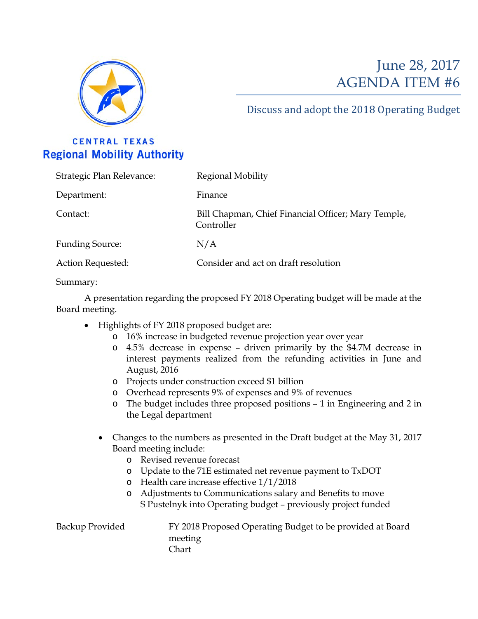

## June 28, 2017 AGENDA ITEM #6

## Discuss and adopt the 2018 Operating Budget

## **CENTRAL TEXAS Regional Mobility Authority**

| Strategic Plan Relevance: | Regional Mobility                                                 |
|---------------------------|-------------------------------------------------------------------|
| Department:               | Finance                                                           |
| Contact:                  | Bill Chapman, Chief Financial Officer; Mary Temple,<br>Controller |
| <b>Funding Source:</b>    | N/A                                                               |
| Action Requested:         | Consider and act on draft resolution                              |

Summary:

A presentation regarding the proposed FY 2018 Operating budget will be made at the Board meeting.

- Highlights of FY 2018 proposed budget are:
	- o 16% increase in budgeted revenue projection year over year
	- o 4.5% decrease in expense driven primarily by the \$4.7M decrease in interest payments realized from the refunding activities in June and August, 2016
	- o Projects under construction exceed \$1 billion
	- o Overhead represents 9% of expenses and 9% of revenues
	- o The budget includes three proposed positions 1 in Engineering and 2 in the Legal department
	- Changes to the numbers as presented in the Draft budget at the May 31, 2017 Board meeting include:
		- o Revised revenue forecast
		- o Update to the 71E estimated net revenue payment to TxDOT
		- o Health care increase effective 1/1/2018
		- o Adjustments to Communications salary and Benefits to move S Pustelnyk into Operating budget – previously project funded

Backup Provided FY 2018 Proposed Operating Budget to be provided at Board meeting Chart